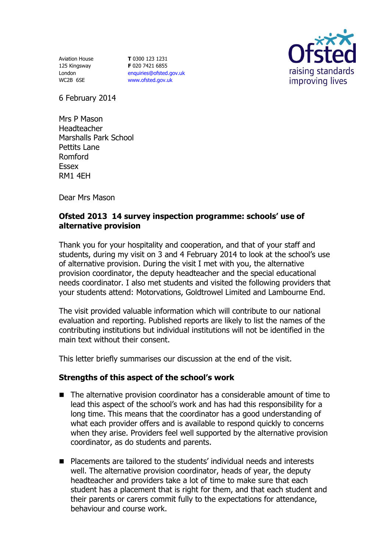Aviation House 125 Kingsway London WC2B 6SE

**T** 0300 123 1231 **F** 020 7421 6855 [enquiries@ofsted.gov.uk](mailto:enquiries@ofsted.gov.uk) [www.ofsted.gov.uk](http://www.ofsted.gov.uk/)



6 February 2014

Mrs P Mason Headteacher Marshalls Park School Pettits Lane Romford Essex RM1 4EH

Dear Mrs Mason

## **Ofsted 2013 14 survey inspection programme: schools' use of alternative provision**

Thank you for your hospitality and cooperation, and that of your staff and students, during my visit on 3 and 4 February 2014 to look at the school's use of alternative provision. During the visit I met with you, the alternative provision coordinator, the deputy headteacher and the special educational needs coordinator. I also met students and visited the following providers that your students attend: Motorvations, Goldtrowel Limited and Lambourne End.

The visit provided valuable information which will contribute to our national evaluation and reporting. Published reports are likely to list the names of the contributing institutions but individual institutions will not be identified in the main text without their consent.

This letter briefly summarises our discussion at the end of the visit.

## **Strengths of this aspect of the school's work**

- The alternative provision coordinator has a considerable amount of time to lead this aspect of the school's work and has had this responsibility for a long time. This means that the coordinator has a good understanding of what each provider offers and is available to respond quickly to concerns when they arise. Providers feel well supported by the alternative provision coordinator, as do students and parents.
- Placements are tailored to the students' individual needs and interests well. The alternative provision coordinator, heads of year, the deputy headteacher and providers take a lot of time to make sure that each student has a placement that is right for them, and that each student and their parents or carers commit fully to the expectations for attendance, behaviour and course work.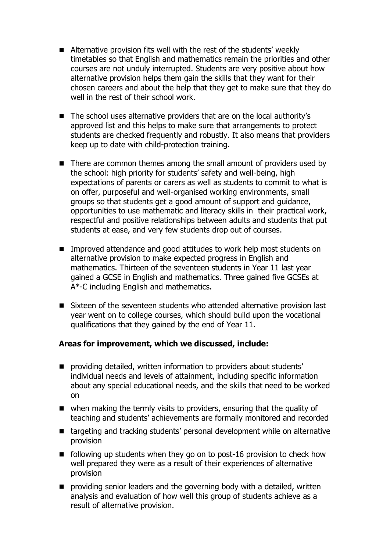- Alternative provision fits well with the rest of the students' weekly timetables so that English and mathematics remain the priorities and other courses are not unduly interrupted. Students are very positive about how alternative provision helps them gain the skills that they want for their chosen careers and about the help that they get to make sure that they do well in the rest of their school work.
- The school uses alternative providers that are on the local authority's approved list and this helps to make sure that arrangements to protect students are checked frequently and robustly. It also means that providers keep up to date with child-protection training.
- There are common themes among the small amount of providers used by the school: high priority for students' safety and well-being, high expectations of parents or carers as well as students to commit to what is on offer, purposeful and well-organised working environments, small groups so that students get a good amount of support and guidance, opportunities to use mathematic and literacy skills in their practical work, respectful and positive relationships between adults and students that put students at ease, and very few students drop out of courses.
- Improved attendance and good attitudes to work help most students on alternative provision to make expected progress in English and mathematics. Thirteen of the seventeen students in Year 11 last year gained a GCSE in English and mathematics. Three gained five GCSEs at A\*-C including English and mathematics.
- Sixteen of the seventeen students who attended alternative provision last year went on to college courses, which should build upon the vocational qualifications that they gained by the end of Year 11.

## **Areas for improvement, which we discussed, include:**

- **P** providing detailed, written information to providers about students' individual needs and levels of attainment, including specific information about any special educational needs, and the skills that need to be worked on
- when making the termly visits to providers, ensuring that the quality of teaching and students' achievements are formally monitored and recorded
- targeting and tracking students' personal development while on alternative provision
- $\blacksquare$  following up students when they go on to post-16 provision to check how well prepared they were as a result of their experiences of alternative provision
- **P** providing senior leaders and the governing body with a detailed, written analysis and evaluation of how well this group of students achieve as a result of alternative provision.